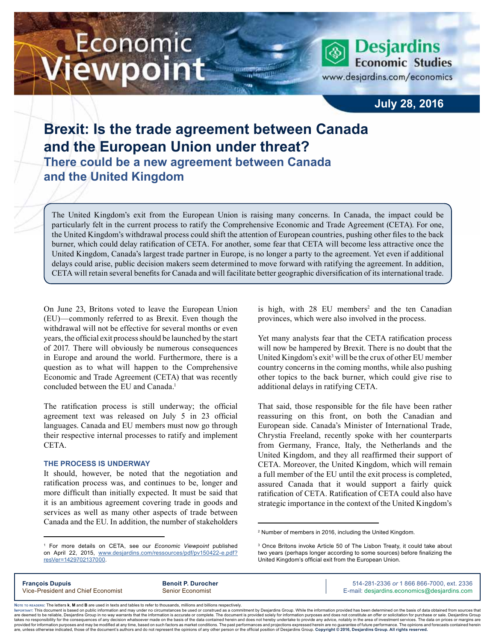# Economic iewpoint

**Desjardins Economic Studies** www.desjardins.com/economics

### **July 28, 2016**

## **Brexit: Is the trade agreement between Canada and the European Union under threat? There could be a new agreement between Canada and the United Kingdom**

The United Kingdom's exit from the European Union is raising many concerns. In Canada, the impact could be particularly felt in the current process to ratify the Comprehensive Economic and Trade Agreement (CETA). For one, the United Kingdom's withdrawal process could shift the attention of European countries, pushing other files to the back burner, which could delay ratification of CETA. For another, some fear that CETA will become less attractive once the United Kingdom, Canada's largest trade partner in Europe, is no longer a party to the agreement. Yet even if additional delays could arise, public decision makers seem determined to move forward with ratifying the agreement. In addition, CETA will retain several benefits for Canada and will facilitate better geographic diversification of its international trade.

m

On June 23, Britons voted to leave the European Union (EU)—commonly referred to as Brexit. Even though the withdrawal will not be effective for several months or even years, the official exit process should be launched by the start of 2017. There will obviously be numerous consequences in Europe and around the world. Furthermore, there is a question as to what will happen to the Comprehensive Economic and Trade Agreement (CETA) that was recently concluded between the EU and Canada.<sup>1</sup>

The ratification process is still underway; the official agreement text was released on July 5 in 23 official languages. Canada and EU members must now go through their respective internal processes to ratify and implement CETA.

#### **THE PROCESS IS UNDERWAY**

It should, however, be noted that the negotiation and ratification process was, and continues to be, longer and more difficult than initially expected. It must be said that it is an ambitious agreement covering trade in goods and services as well as many other aspects of trade between Canada and the EU. In addition, the number of stakeholders

is high, with  $28$  EU members<sup>2</sup> and the ten Canadian provinces, which were also involved in the process.

Yet many analysts fear that the CETA ratification process will now be hampered by Brexit. There is no doubt that the United Kingdom's exit<sup>3</sup> will be the crux of other EU member country concerns in the coming months, while also pushing other topics to the back burner, which could give rise to additional delays in ratifying CETA.

That said, those responsible for the file have been rather reassuring on this front, on both the Canadian and European side. Canada's Minister of International Trade, Chrystia Freeland, recently spoke with her counterparts from Germany, France, Italy, the Netherlands and the United Kingdom, and they all reaffirmed their support of CETA. Moreover, the United Kingdom, which will remain a full member of the EU until the exit process is completed, assured Canada that it would support a fairly quick ratification of CETA. Ratification of CETA could also have strategic importance in the context of the United Kingdom's

**François Dupuis Benoit P. Durocher** 514-281-2336 *or* 1 866 866-7000, ext. 2336 Vice-President and Chief Economist Senior Economist Senior Economist E-mail: desjardins.economics@desjardins.com

Noте то келоекs: The letters **k, M** and **B** are used in texts and tables to refer to thousands, millions and billions respectively.<br>Імроктлит: This document is based on public information and may under no circumstances be are deemed to be reliable. Desiardins Group in no way warrants that the information is accurate or complete. The document is provided solely for information purposes and does not constitute an offer or solicitation for pur takes no responsibility for the consequences of any decision whatsoever made on the basis of the data contained herein and does not hereby undertake to provide any advice, notably in the area of investment services. The da .<br>are, unless otherwise indicated, those of the document's authors and do not represent the opinions of any other person or the official position of Desjardins Group. Copyright @ 2016, Desjardins Group. All rights reserved

<sup>2</sup> Number of members in 2016, including the United Kingdom.

<sup>3</sup> Once Britons invoke Article 50 of The Lisbon Treaty, it could take about two years (perhaps longer according to some sources) before finalizing the United Kingdom's official exit from the European Union.

<sup>1</sup> For more details on CETA, see our *Economic Viewpoint* published on April 22, 2015, [www.desjardins.com/ressources/pdf/pv150422-e.pdf?](http://www.desjardins.com/ressources/pdf/pv150422-e.pdf?resVer=1429702137000) [resVer=1429702137000](http://www.desjardins.com/ressources/pdf/pv150422-e.pdf?resVer=1429702137000).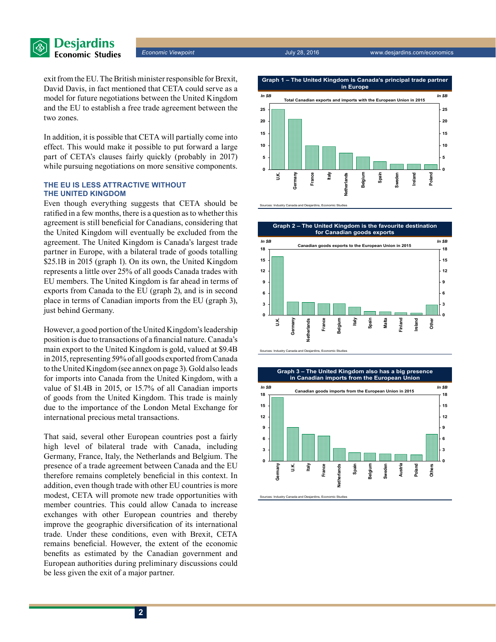

exit from the EU. The British minister responsible for Brexit, David Davis, in fact mentioned that CETA could serve as a model for future negotiations between the United Kingdom and the EU to establish a free trade agreement between the two zones.

In addition, it is possible that CETA will partially come into effect. This would make it possible to put forward a large part of CETA's clauses fairly quickly (probably in 2017) while pursuing negotiations on more sensitive components.

#### **THE EU IS LESS ATTRACTIVE WITHOUT THE UNITED KINGDOM**

Even though everything suggests that CETA should be ratified in a few months, there is a question as to whether this agreement is still beneficial for Canadians, considering that the United Kingdom will eventually be excluded from the agreement. The United Kingdom is Canada's largest trade partner in Europe, with a bilateral trade of goods totalling \$25.1B in 2015 (graph 1). On its own, the United Kingdom represents a little over 25% of all goods Canada trades with EU members. The United Kingdom is far ahead in terms of exports from Canada to the EU (graph 2), and is in second place in terms of Canadian imports from the EU (graph 3), just behind Germany.

However, a good portion of the United Kingdom's leadership position is due to transactions of a financial nature. Canada's main export to the United Kingdom is gold, valued at \$9.4B in 2015, representing 59% of all goods exported from Canada to the United Kingdom (see annex on page 3). Gold also leads for imports into Canada from the United Kingdom, with a value of \$1.4B in 2015, or 15.7% of all Canadian imports of goods from the United Kingdom. This trade is mainly due to the importance of the London Metal Exchange for international precious metal transactions.

That said, several other European countries post a fairly high level of bilateral trade with Canada, including Germany, France, Italy, the Netherlands and Belgium. The presence of a trade agreement between Canada and the EU therefore remains completely beneficial in this context. In addition, even though trade with other EU countries is more modest, CETA will promote new trade opportunities with member countries. This could allow Canada to increase exchanges with other European countries and thereby improve the geographic diversification of its international trade. Under these conditions, even with Brexit, CETA remains beneficial. However, the extent of the economic benefits as estimated by the Canadian government and European authorities during preliminary discussions could be less given the exit of a major partner.



Sources: Industry Canada and Desjardins, Economic Studies



Sources: Industry Canada and Desjardins, Economic Studies

**Graph 3 – The United Kingdom also has a big presence**